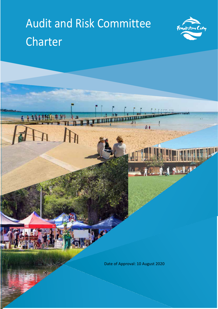# Audit and Risk Committee Charter



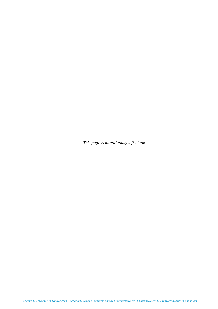*This page is intentionally left blank*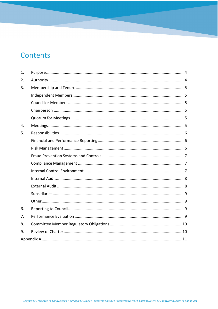## Contents

| 1. |  |  |
|----|--|--|
| 2. |  |  |
| 3. |  |  |
|    |  |  |
|    |  |  |
|    |  |  |
|    |  |  |
| 4. |  |  |
| 5. |  |  |
|    |  |  |
|    |  |  |
|    |  |  |
|    |  |  |
|    |  |  |
|    |  |  |
|    |  |  |
|    |  |  |
|    |  |  |
| 6. |  |  |
| 7. |  |  |
| 8. |  |  |
| 9. |  |  |
|    |  |  |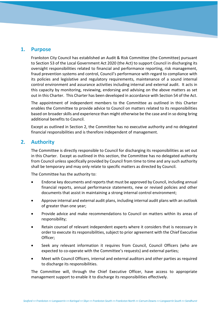## <span id="page-3-0"></span>**1. Purpose**

Frankston City Council has established an Audit & Risk Committee (the Committee) pursuant to Section 53 of the Local Government Act 2020 (the Act) to support Council in discharging its oversight responsibilities related to financial and performance reporting, risk management, fraud prevention systems and control, Council's performance with regard to compliance with its policies and legislative and regulatory requirements, maintenance of a sound internal control environment and assurance activities including internal and external audit. It acts in this capacity by monitoring, reviewing, endorsing and advising on the above matters as set out in this Charter. This Charter has been developed in accordance with Section 54 of the Act.

The appointment of independent members to the Committee as outlined in this Charter enables the Committee to provide advice to Council on matters related to its responsibilities based on broader skills and experience than might otherwise be the case and in so doing bring additional benefits to Council.

Except as outlined in Section 2, the Committee has no executive authority and no delegated financial responsibilities and is therefore independent of management.

## <span id="page-3-1"></span>**2. Authority**

The Committee is directly responsible to Council for discharging its responsibilities as set out in this Charter. Except as outlined in this section, the Committee has no delegated authority from Council unless specifically provided by Council from time to time and any such authority shall be temporary and may only relate to specific matters as directed by Council.

The Committee has the authority to:

- Endorse key documents and reports that must be approved by Council, including annual financial reports, annual performance statements, new or revised policies and other documents that assist in maintaining a strong internal control environment;
- Approve internal and external audit plans, including internal audit plans with an outlook of greater than one year;
- Provide advice and make recommendations to Council on matters within its areas of responsibility;
- Retain counsel of relevant independent experts where it considers that is necessary in order to execute its responsibilities, subject to prior agreement with the Chief Executive Officer;
- Seek any relevant information it requires from Council, Council Officers (who are expected to co-operate with the Committee's requests) and external parties;
- Meet with Council Officers, internal and external auditors and other parties as required to discharge its responsibilities.

The Committee will, through the Chief Executive Officer, have access to appropriate management support to enable it to discharge its responsibilities effectively.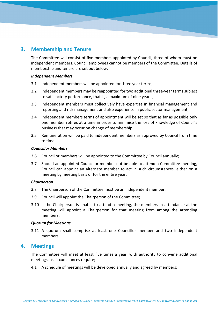## <span id="page-4-0"></span>**3. Membership and Tenure**

The Committee will consist of five members appointed by Council, three of whom must be independent members. Council employees cannot be members of the Committee. Details of membership and tenure are set out below:

#### <span id="page-4-1"></span>*Independent Members*

- 3.1 Independent members will be appointed for three year terms;
- 3.2 Independent members may be reappointed for two additional three-year terms subject to satisfactory performance, that is, a maximum of nine years ;
- 3.3 Independent members must collectively have expertise in financial management and reporting and risk management and also experience in public sector management;
- 3.4 Independent members terms of appointment will be set so that as far as possible only one member retires at a time in order to minimise the loss of knowledge of Council's business that may occur on change of membership;
- 3.5 Remuneration will be paid to independent members as approved by Council from time to time;

#### <span id="page-4-2"></span>*Councillor Members*

- 3.6 Councillor members will be appointed to the Committee by Council annually;
- 3.7 Should an appointed Councillor member not be able to attend a Committee meeting, Council can appoint an alternate member to act in such circumstances, either on a meeting by meeting basis or for the entire year;

#### <span id="page-4-3"></span>*Chairperson*

- 3.8 The Chairperson of the Committee must be an independent member;
- 3.9 Council will appoint the Chairperson of the Committee;
- 3.10 If the Chairperson is unable to attend a meeting, the members in attendance at the meeting will appoint a Chairperson for that meeting from among the attending members;

#### <span id="page-4-4"></span>*Quorum for Meetings*

3.11 A quorum shall comprise at least one Councillor member and two independent members.

## <span id="page-4-5"></span>**4. Meetings**

The Committee will meet at least five times a year, with authority to convene additional meetings, as circumstances require;

4.1 A schedule of meetings will be developed annually and agreed by members;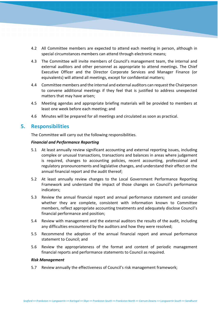- 4.2 All Committee members are expected to attend each meeting in person, although in special circumstances members can attend through electronic means;
- 4.3 The Committee will invite members of Council's management team, the internal and external auditors and other personnel as appropriate to attend meetings. The Chief Executive Officer and the Director Corporate Services and Manager Finance (or equivalents) will attend all meetings, except for confidential matters;
- 4.4 Committee members and the internal and external auditors can request the Chairperson to convene additional meetings if they feel that is justified to address unexpected matters that may have arisen;
- 4.5 Meeting agendas and appropriate briefing materials will be provided to members at least one week before each meeting; and
- 4.6 Minutes will be prepared for all meetings and circulated as soon as practical.

## <span id="page-5-0"></span>**5. Responsibilities**

The Committee will carry out the following responsibilities.

#### <span id="page-5-1"></span>*Financial and Performance Reporting*

- 5.1 At least annually review significant accounting and external reporting issues, including complex or unusual transactions, transactions and balances in areas where judgement is required, changes to accounting policies, recent accounting, professional and regulatory pronouncements and legislative changes, and understand their effect on the annual financial report and the audit thereof;
- 5.2 At least annually review changes to the Local Government Performance Reporting Framework and understand the impact of those changes on Council's performance indicators;
- 5.3 Review the annual financial report and annual performance statement and consider whether they are complete, consistent with information known to Committee members, reflect appropriate accounting treatments and adequately disclose Council's financial performance and position;
- 5.4 Review with management and the external auditors the results of the audit, including any difficulties encountered by the auditors and how they were resolved;
- 5.5 Recommend the adoption of the annual financial report and annual performance statement to Council; and
- 5.6 Review the appropriateness of the format and content of periodic management financial reports and performance statements to Council as required.

#### <span id="page-5-2"></span>*Risk Management*

5.7 Review annually the effectiveness of Council's risk management framework;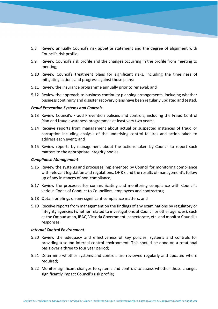- 5.8 Review annually Council's risk appetite statement and the degree of alignment with Council's risk profile;
- 5.9 Review Council's risk profile and the changes occurring in the profile from meeting to meeting;
- 5.10 Review Council's treatment plans for significant risks, including the timeliness of mitigating actions and progress against those plans;
- 5.11 Review the insurance programme annually prior to renewal; and
- 5.12 Review the approach to business continuity planning arrangements, including whether business continuity and disaster recovery plans have been regularly updated and tested.

#### <span id="page-6-0"></span>*Fraud Prevention Systems and Controls*

- 5.13 Review Council's Fraud Prevention policies and controls, including the Fraud Control Plan and fraud awareness programmes at least very two years;
- 5.14 Receive reports from management about actual or suspected instances of fraud or corruption including analysis of the underlying control failures and action taken to address each event; and
- 5.15 Review reports by management about the actions taken by Council to report such matters to the appropriate integrity bodies.

#### <span id="page-6-1"></span>*Compliance Management*

- 5.16 Review the systems and processes implemented by Council for monitoring compliance with relevant legislation and regulations, OH&S and the results of management's follow up of any instances of non-compliance;
- 5.17 Review the processes for communicating and monitoring compliance with Council's various Codes of Conduct to Councillors, employees and contractors;
- 5.18 Obtain briefings on any significant compliance matters; and
- 5.19 Receive reports from management on the findings of any examinations by regulatory or integrity agencies (whether related to investigations at Council or other agencies), such as the Ombudsman, IBAC, Victoria Government Inspectorate, etc. and monitor Council's responses.

#### <span id="page-6-2"></span>*Internal Control Environment*

- 5.20 Review the adequacy and effectiveness of key policies, systems and controls for providing a sound internal control environment. This should be done on a rotational basis over a three to four year period;
- 5.21 Determine whether systems and controls are reviewed regularly and updated where required;
- 5.22 Monitor significant changes to systems and controls to assess whether those changes significantly impact Council's risk profile;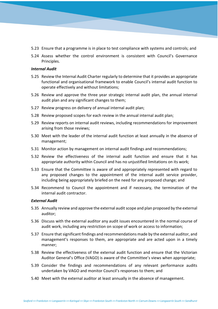- 5.23 Ensure that a programme is in place to test compliance with systems and controls; and
- 5.24 Assess whether the control environment is consistent with Council's Governance Principles.

#### <span id="page-7-0"></span>*Internal Audit*

- 5.25 Review the Internal Audit Charter regularly to determine that it provides an appropriate functional and organisational framework to enable Council's internal audit function to operate effectively and without limitations;
- 5.26 Review and approve the three year strategic internal audit plan, the annual internal audit plan and any significant changes to them;
- 5.27 Review progress on delivery of annual internal audit plan;
- 5.28 Review proposed scopes for each review in the annual internal audit plan;
- 5.29 Review reports on internal audit reviews, including recommendations for improvement arising from those reviews;
- 5.30 Meet with the leader of the internal audit function at least annually in the absence of management;
- 5.31 Monitor action by management on internal audit findings and recommendations;
- 5.32 Review the effectiveness of the internal audit function and ensure that it has appropriate authority within Council and has no unjustified limitations on its work;
- 5.33 Ensure that the Committee is aware of and appropriately represented with regard to any proposed changes to the appointment of the internal audit service provider, including being appropriately briefed on the need for any proposed change; and
- 5.34 Recommend to Council the appointment and if necessary, the termination of the internal audit contractor.

#### <span id="page-7-1"></span>*External Audit*

- 5.35 Annually review and approve the external audit scope and plan proposed by the external auditor;
- 5.36 Discuss with the external auditor any audit issues encountered in the normal course of audit work, including any restriction on scope of work or access to information;
- 5.37 Ensure that significant findings and recommendations made by the external auditor, and management's responses to them, are appropriate and are acted upon in a timely manner;
- 5.38 Review the effectiveness of the external audit function and ensure that the Victorian Auditor General's Office (VAGO) is aware of the Committee's views when appropriate;
- 5.39 Consider the findings and recommendations of any relevant performance audits undertaken by VAGO and monitor Council's responses to them; and
- 5.40 Meet with the external auditor at least annually in the absence of management.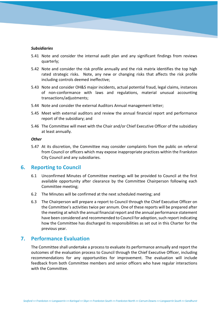#### <span id="page-8-0"></span>*Subsidiaries*

- 5.41 Note and consider the internal audit plan and any significant findings from reviews quarterly;
- 5.42 Note and consider the risk profile annually and the risk matrix identifies the top high rated strategic risks. Note, any new or changing risks that affects the risk profile including controls deemed ineffective;
- 5.43 Note and consider OH&S major incidents, actual potential fraud, legal claims, instances of non-conformance with laws and regulations, material unusual accounting transactions/adjustments;
- 5.44 Note and consider the external Auditors Annual management letter;
- 5.45 Meet with external auditors and review the annual financial report and performance report of the subsidiary; and
- 5.46 The Committee will meet with the Chair and/or Chief Executive Officer of the subsidiary at least annually.

#### <span id="page-8-1"></span>*Other*

5.47 At its discretion, the Committee may consider complaints from the public on referral from Council or officers which may expose inappropriate practices within the Frankston City Council and any subsidiaries.

### <span id="page-8-2"></span>**6. Reporting to Council**

- 6.1 Unconfirmed Minutes of Committee meetings will be provided to Council at the first available opportunity after clearance by the Committee Chairperson following each Committee meeting;
- 6.2 The Minutes will be confirmed at the next scheduled meeting; and
- 6.3 The Chairperson will prepare a report to Council through the Chief Executive Officer on the Committee's activities twice per annum. One of these reports will be prepared after the meeting at which the annual financial report and the annual performance statement have been considered and recommended to Council for adoption, such report indicating how the Committee has discharged its responsibilities as set out in this Charter for the previous year.

## <span id="page-8-3"></span>**7. Performance Evaluation**

The Committee shall undertake a process to evaluate its performance annually and report the outcomes of the evaluation process to Council through the Chief Executive Officer, including recommendations for any opportunities for improvement. The evaluation will include feedback from both Committee members and senior officers who have regular interactions with the Committee.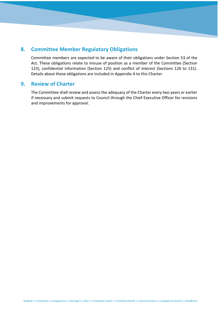## <span id="page-9-0"></span>**8. Committee Member Regulatory Obligations**

Committee members are expected to be aware of their obligations under Section 53 of the Act. These obligations relate to misuse of position as a member of the Committee (Section 123), confidential information (Section 125) and conflict of interest (Sections 126 to 131). Details about these obligations are included in Appendix A to this Charter.

## <span id="page-9-1"></span>**9. Review of Charter**

The Committee shall review and assess the adequacy of the Charter every two years or earlier if necessary and submit requests to Council through the Chief Executive Officer for revisions and improvements for approval.